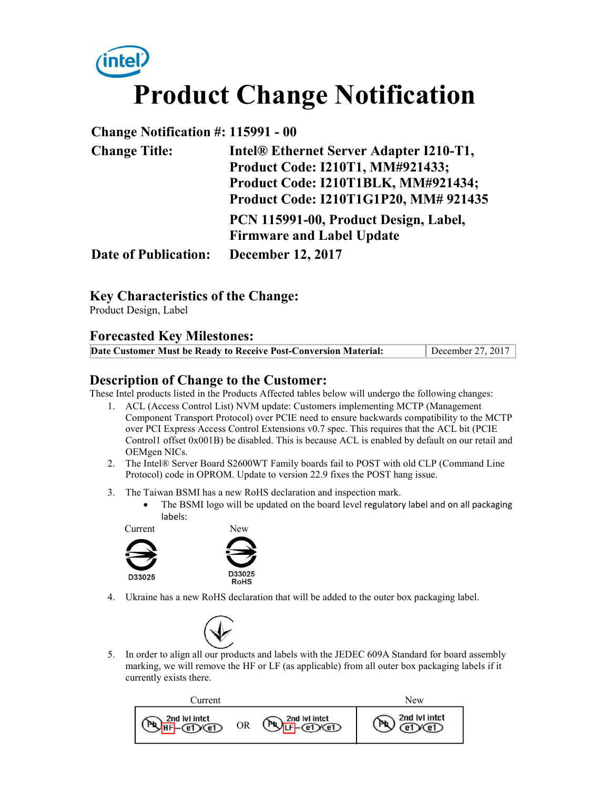# **Product Change Notification**

#### **Change Notification #: 115991 - 00**

| <b>Change Title:</b>        | Intel® Ethernet Server Adapter I210-T1, |  |  |
|-----------------------------|-----------------------------------------|--|--|
|                             | Product Code: I210T1, MM#921433;        |  |  |
|                             | Product Code: I210T1BLK, MM#921434;     |  |  |
|                             | Product Code: I210T1G1P20, MM# 921435   |  |  |
|                             | PCN 115991-00, Product Design, Label,   |  |  |
|                             | <b>Firmware and Label Update</b>        |  |  |
| <b>Date of Publication:</b> | <b>December 12, 2017</b>                |  |  |

#### **Key Characteristics of the Change:**

Product Design, Label

#### **Forecasted Key Milestones:**

| Date Customer Must be Ready to Receive Post-Conversion Material: | December 27, 2017 |
|------------------------------------------------------------------|-------------------|

#### **Description of Change to the Customer:**

These Intel products listed in the Products Affected tables below will undergo the following changes:

- 1. ACL (Access Control List) NVM update: Customers implementing MCTP (Management Component Transport Protocol) over PCIE need to ensure backwards compatibility to the MCTP over PCI Express Access Control Extensions v0.7 spec. This requires that the ACL bit (PCIE Control1 offset 0x001B) be disabled. This is because ACL is enabled by default on our retail and OEMgen NICs.
- 2. The Intel® Server Board S2600WT Family boards fail to POST with old CLP (Command Line Protocol) code in OPROM. Update to version 22.9 fixes the POST hang issue.
- 3. The Taiwan BSMI has a new RoHS declaration and inspection mark.
	- The BSMI logo will be updated on the board level regulatory label and on all packaging labels:





4. Ukraine has a new RoHS declaration that will be added to the outer box packaging label.



5. In order to align all our products and labels with the JEDEC 609A Standard for board assembly marking, we will remove the HF or LF (as applicable) from all outer box packaging labels if it currently exists there.

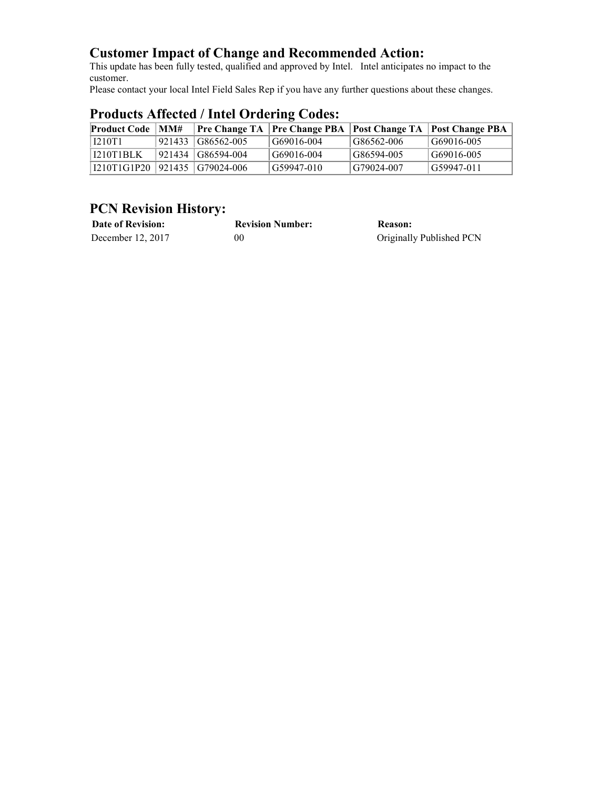### **Customer Impact of Change and Recommended Action:**

This update has been fully tested, qualified and approved by Intel. Intel anticipates no impact to the customer.

Please contact your local Intel Field Sales Rep if you have any further questions about these changes.

| <b>Product Code   MM#</b>     |  |                     |            |            | <b>Pre Change TA Pre Change PBA Post Change TA Post Change PBA</b> |  |
|-------------------------------|--|---------------------|------------|------------|--------------------------------------------------------------------|--|
| <b>I210T1</b>                 |  | 921433 G86562-005   | G69016-004 | G86562-006 | G69016-005                                                         |  |
| 1210T1BLK                     |  | 921434   G86594-004 | G69016-004 | G86594-005 | G69016-005                                                         |  |
| I210T1G1P20 921435 G79024-006 |  |                     | G59947-010 | G79024-007 | G59947-011                                                         |  |

## **Products Affected / Intel Ordering Codes:**

# **PCN Revision History:**

| <b>Date of Revision:</b> | <b>Revision Number:</b> | Reason:                  |
|--------------------------|-------------------------|--------------------------|
| December 12, 2017        | 00                      | Originally Published PCN |